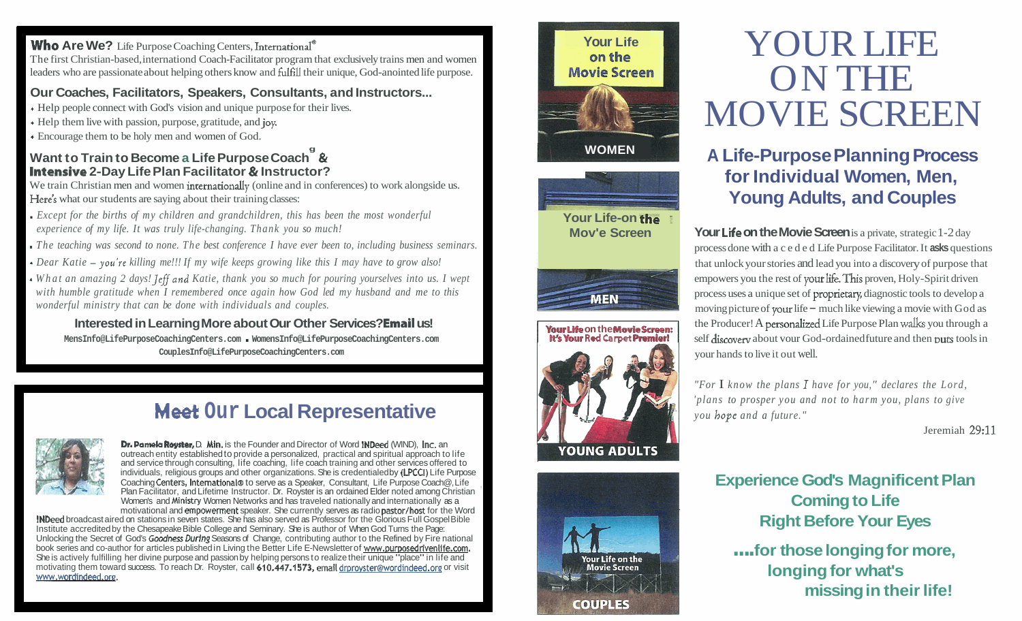#### **Who Are We?** Life Purpose Coaching Centers, International<sup>®</sup>

The first Christian-based, internationd Coach-Facilitator program that exclusively trains men and women leaders who are passionate about helping others know and **fulfill** their unique, God-anointed life purpose.

#### **Our Coaches, Facilitators, Speakers, Consultants, and Instructors...**

- <sup>+</sup>Help people connect with God's vision and unique purpose for their lives.
- <sup>+</sup>Help them live with passion, purpose, gratitude, and joy.
- <sup>+</sup>Encourage them to be holy men and women of God.

#### **Want to Train to Become a Life Purpose Coach**  $^{\circ}$  **& Intensive 2-Day Life Plan Facilitator** & **Instructor?**

We train Christian men and women internationally (online and in conferences) to work alongside us. Here's what our students are saying about their training classes:

. *Except for the births of my children and grandchildren, this has been the most wonderful experience of my life. It was truly life-changing. Thank you so much!* 

- . *The teaching was second to none. The best conference I have ever been to, including business seminars.*
- *Dear Katie you're killing me!!! If my wife keeps growing like this I may have to grow also!*
- *What an amazing 2 days! Jeffand Katie, thank you so much for pouring yourselves into us. I wept with humble gratitude when I remembered once again how God led my husband and me to this wonderful ministry that can be done with individuals and couples.*

#### **Interested in Learning More about Our Other Services? Email us!**

**MensInfo@LifePurposeCoachingCenters.com** . **WomensInfo@LifePurposeCoachingCenters.com CouplesInfo@LifePurposeCoachingCenters.com** 

## **Meet Our Local Representative**



**Dr. Pamela Royster, D. Min.** is the Founder and Director of Word INDeed (WIND), Inc. an outreach entity established to provide a personalized, practical and spiritual approach to life and service through consulting, life coaching, life coach training and other services offered to individuals, religious groups and other organizations. She is credentialed by (LPCCI) Life Purpose<br>Coaching Centers, International® to serve as a Speaker, Consultant, Life Purpose Coach@, Life Plan Facilitator, and Lifetime Instructor. Dr. Royster is an ordained Elder noted among Christian Women's and Ministry Women Networks and has traveled nationally and internationally as a motivational and empowerment speaker. She currently serves as radio pastor/host for the Word

INDeed broadcast aired on stations in seven states. She has also served as Professor for the Glorious Full Gospel Bible Institute accredited by the Chesapeake Bible College and Seminary. She is author of When God Turns the Page: Unlocking the Secret of God's Goodness During Seasons of Change, contributing author to the Refined by Fire national book series and co-author for articles published in Living the Better Life E-Newsletter of www.purposedrivenlife.com. She is actively fulfilling her divine purpose and passion by helping persons to realize their unique "place" in life and motivating them toward success. To reach Dr. Royster, call 610.447.1573, email drproyster@wordindeed.org or visit www.wordindeed.org.





**Your Life-on the** 







## YOUR LIFE ON THE MOVIE SCREEN

### <sup>I</sup>**A Life-Purpose Planning Process for Individual Women, Men, Young Adults, and Couples**

**Mov'e Screen Your Life on the Movie Screen** is a private, strategic 1-2 day process done with a ceded Life Purpose Facilitator. It **asks** questions that unlock your stories and lead you into a discovery of purpose that empowers you the rest of your life. This proven, Holy-Spirit driven process uses a unique set of proprietary, diagnostic tools to develop a moving picture of your life  $-$  much like viewing a movie with God as **Your Life on the Movie Screen:** left Producer! A personalized Life Purpose Plan walks you through a left discovery about your God-ordained future and then puts tools in self discovery about your God-ordained future and then puts tools in your hands to live it out well. **EXERCISE AND MUNICIPY AND MUNICIPY AND MUNICIPY AND MUNICIPY POCK CONSUMPTION AND MUNICIPY**  $\frac{1}{2}$  **<b>For** *know the plans 1 have (ber* you, *Pock and Couples*  $\frac{1}{2}$  **For** *Know the couple and the Hoppic Fallibules (AD* 

*'plans to prosper you and not to harm you, plans to give you hope and a future."* 

Jeremiah 29:ll

#### **Experience God's Magnificent Plan Coming to Life Right Before Your Eyes**

.... **for those longing for more, longing for what's missing in their life!**